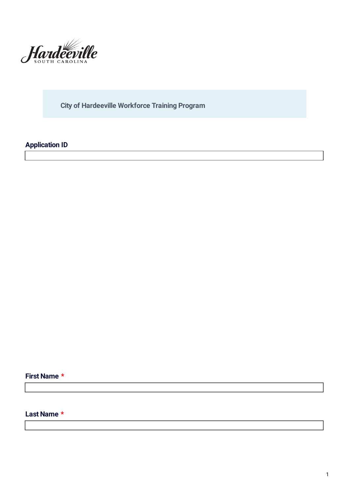

**City of Hardeeville Workforce Training Program**

# **Application ID**

#### **First Name \***

### **Last Name \***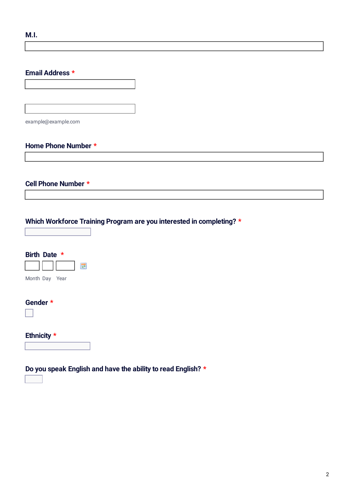#### **Email Address \***

example@example.com

#### **Home Phone Number \***

#### **Cell Phone Number \***

### **Which Workforce Training Program are you interested in completing? \***

| Birth Date *   |  |
|----------------|--|
| Month Day Year |  |
| Gender *       |  |
| Ethnicity *    |  |
|                |  |

### **Do you speak English and have the ability to read English? \***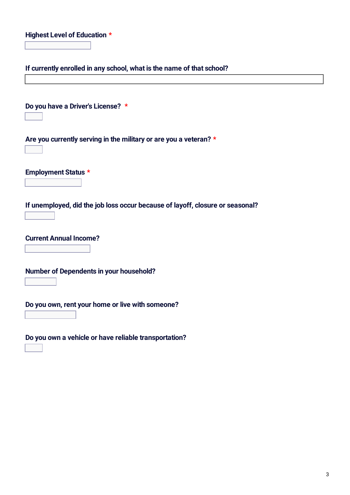|  | Highest Level of Education * |  |
|--|------------------------------|--|
|--|------------------------------|--|

**If currently enrolled in any school, what is the name of that school?**

**Do you have a Driver's License? \* Are you currently serving in the military or are you a veteran? \* Employment Status \* If unemployed, did the job loss occur because of layoff, closure or seasonal? Current Annual Income? Number of Dependents in your household? Do you own, rent your home or live with someone? Do you own a vehicle or have reliable transportation?**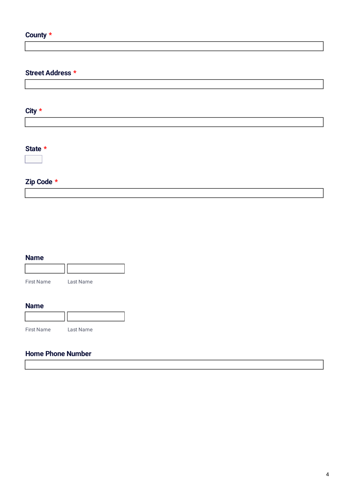# **County \***

### **Street Address \***

**City \***

# **State \***

# **Zip Code \***

| <b>Name</b> |           |
|-------------|-----------|
|             |           |
| First Name  | Last Name |

#### **Name**

| <b>First Name</b> | Last Name |
|-------------------|-----------|

# **Home Phone Number**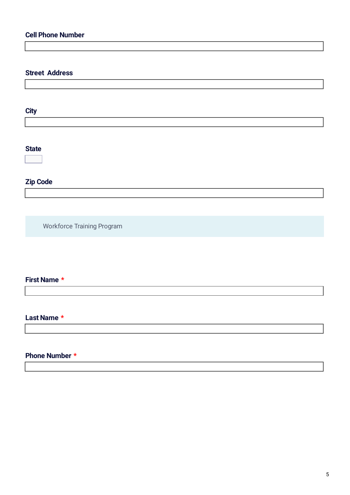# **Cell Phone Number**

## **Street Address**

**City**

### **State**

# **Zip Code**

Workforce Training Program

### **First Name \***

#### **Last Name \***

#### **Phone Number \***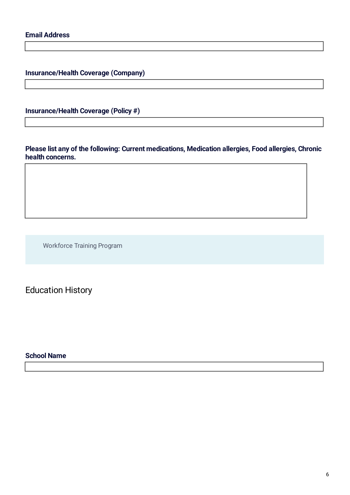**Insurance/Health Coverage (Company)**

**Insurance/Health Coverage (Policy #)**

**Please list any of the following: Current medications, Medication allergies, Food allergies, Chronic health concerns.**

Workforce Training Program

Education History

#### **School Name**